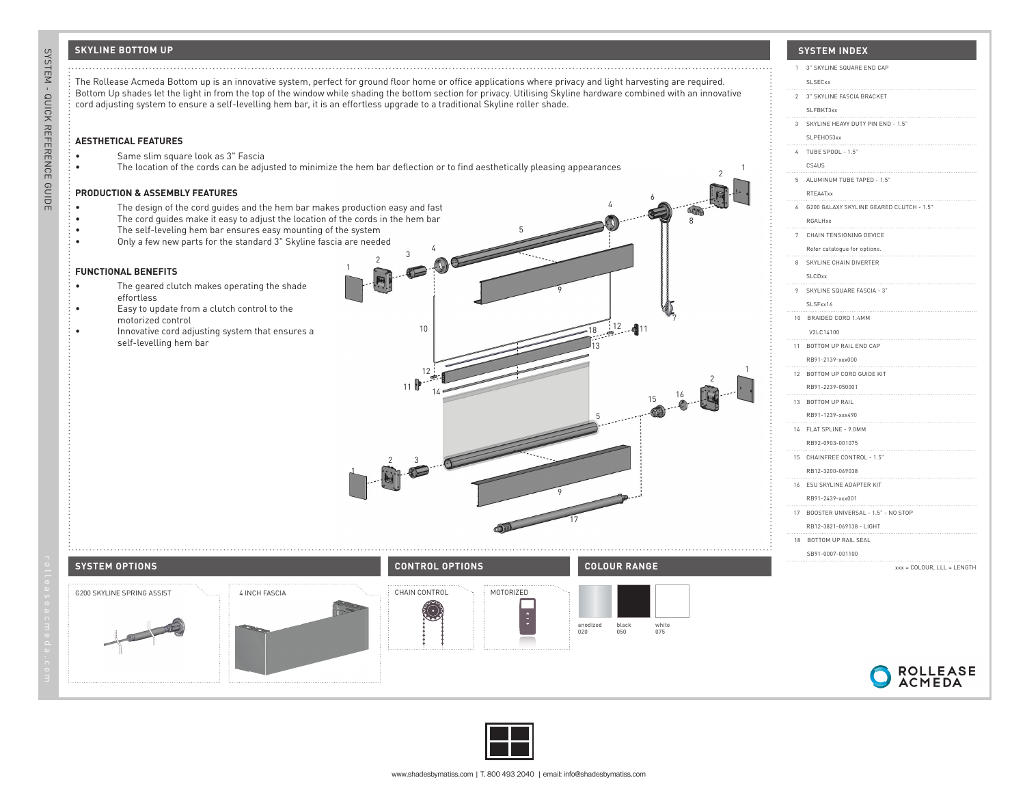## **SKYLINE BOTTOM UP**

SYSTEM - QUICK REFERENCE GUIDE reference and the feature of the feature reference and the feature r

SYSTEM - QUICK REFERENCE GUIDE